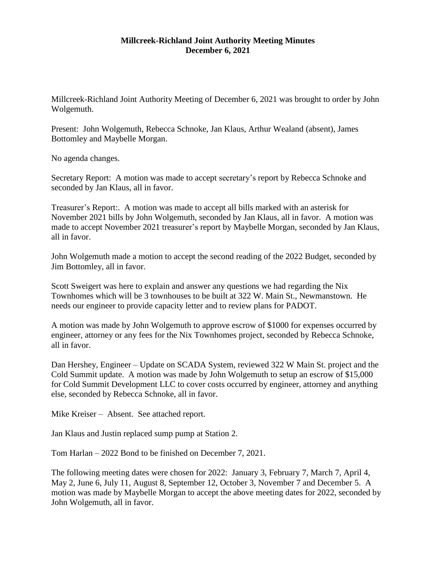## **Millcreek-Richland Joint Authority Meeting Minutes December 6, 2021**

Millcreek-Richland Joint Authority Meeting of December 6, 2021 was brought to order by John Wolgemuth.

Present: John Wolgemuth, Rebecca Schnoke, Jan Klaus, Arthur Wealand (absent), James Bottomley and Maybelle Morgan.

No agenda changes.

Secretary Report: A motion was made to accept secretary's report by Rebecca Schnoke and seconded by Jan Klaus, all in favor.

Treasurer's Report:. A motion was made to accept all bills marked with an asterisk for November 2021 bills by John Wolgemuth, seconded by Jan Klaus, all in favor. A motion was made to accept November 2021 treasurer's report by Maybelle Morgan, seconded by Jan Klaus, all in favor.

John Wolgemuth made a motion to accept the second reading of the 2022 Budget, seconded by Jim Bottomley, all in favor.

Scott Sweigert was here to explain and answer any questions we had regarding the Nix Townhomes which will be 3 townhouses to be built at 322 W. Main St., Newmanstown. He needs our engineer to provide capacity letter and to review plans for PADOT.

A motion was made by John Wolgemuth to approve escrow of \$1000 for expenses occurred by engineer, attorney or any fees for the Nix Townhomes project, seconded by Rebecca Schnoke, all in favor.

Dan Hershey, Engineer – Update on SCADA System, reviewed 322 W Main St. project and the Cold Summit update. A motion was made by John Wolgemuth to setup an escrow of \$15,000 for Cold Summit Development LLC to cover costs occurred by engineer, attorney and anything else, seconded by Rebecca Schnoke, all in favor.

Mike Kreiser – Absent. See attached report.

Jan Klaus and Justin replaced sump pump at Station 2.

Tom Harlan – 2022 Bond to be finished on December 7, 2021.

The following meeting dates were chosen for 2022: January 3, February 7, March 7, April 4, May 2, June 6, July 11, August 8, September 12, October 3, November 7 and December 5. A motion was made by Maybelle Morgan to accept the above meeting dates for 2022, seconded by John Wolgemuth, all in favor.